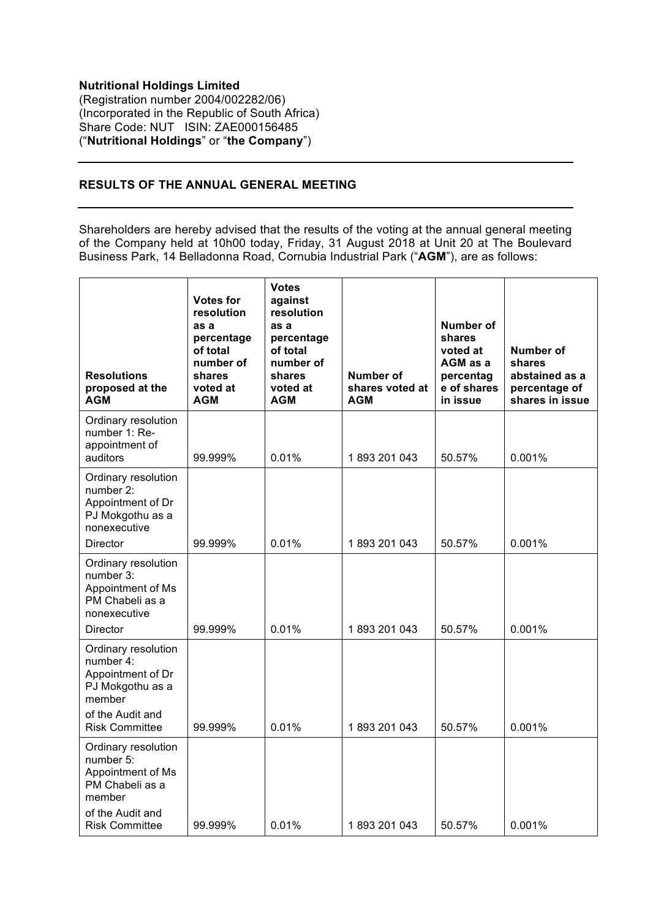## **Nutritional Holdings Limited** (Registration number 2004/002282/06) (Incorporated in the Republic of South Africa) Share Code: NUT ISIN: ZAE000156485 ("**Nutritional Holdings**" or "**the Company**")

## **RESULTS OF THE ANNUAL GENERAL MEETING**

Shareholders are hereby advised that the results of the voting at the annual general meeting of the Company held at 10h00 today, Friday, 31 August 2018 at Unit 20 at The Boulevard Business Park, 14 Belladonna Road, Cornubia Industrial Park ("**AGM**"), are as follows:

| <b>Resolutions</b><br>proposed at the<br><b>AGM</b>                                                                              | <b>Votes for</b><br>resolution<br>as a<br>percentage<br>of total<br>number of<br>shares<br>voted at<br><b>AGM</b> | <b>Votes</b><br>against<br>resolution<br>as a<br>percentage<br>of total<br>number of<br>shares<br>voted at<br><b>AGM</b> | Number of<br>shares voted at<br><b>AGM</b> | Number of<br>shares<br>voted at<br>AGM as a<br>percentag<br>e of shares<br>in issue | Number of<br>shares<br>abstained as a<br>percentage of<br>shares in issue |
|----------------------------------------------------------------------------------------------------------------------------------|-------------------------------------------------------------------------------------------------------------------|--------------------------------------------------------------------------------------------------------------------------|--------------------------------------------|-------------------------------------------------------------------------------------|---------------------------------------------------------------------------|
| Ordinary resolution<br>number 1: Re-<br>appointment of<br>auditors                                                               | 99.999%                                                                                                           | 0.01%                                                                                                                    | 1893 201 043                               | 50.57%                                                                              | 0.001%                                                                    |
| Ordinary resolution<br>number 2:<br>Appointment of Dr<br>PJ Mokgothu as a<br>nonexecutive<br>Director                            | 99.999%                                                                                                           | 0.01%                                                                                                                    | 1893 201 043                               | 50.57%                                                                              | 0.001%                                                                    |
| Ordinary resolution<br>number 3:<br>Appointment of Ms<br>PM Chabeli as a<br>nonexecutive<br><b>Director</b>                      | 99.999%                                                                                                           | 0.01%                                                                                                                    | 1893 201 043                               | 50.57%                                                                              | 0.001%                                                                    |
| Ordinary resolution<br>number 4:<br>Appointment of Dr<br>PJ Mokgothu as a<br>member<br>of the Audit and<br><b>Risk Committee</b> | 99.999%                                                                                                           | 0.01%                                                                                                                    | 1893 201 043                               | 50.57%                                                                              | 0.001%                                                                    |
| Ordinary resolution<br>number 5:<br>Appointment of Ms<br>PM Chabeli as a<br>member<br>of the Audit and<br><b>Risk Committee</b>  | 99.999%                                                                                                           | 0.01%                                                                                                                    | 1893 201 043                               | 50.57%                                                                              | 0.001%                                                                    |